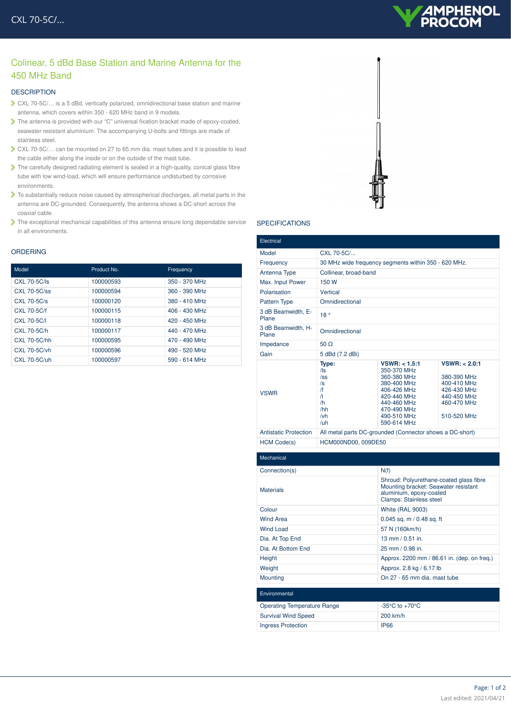# **AMPHENOL**<br>PROCOM

# Colinear, 5 dBd Base Station and Marine Antenna for the 450 MHz Band

## **DESCRIPTION**

- CXL 70-5C/… is a 5 dBd, vertically polarized, omnidirectional base station and marine antenna, which covers within 350 - 620 MHz band in 9 models.
- The antenna is provided with our "C" universal fixation bracket made of epoxy-coated, seawater resistant aluminium. The accompanying U-bolts and fittings are made of stainless steel.
- CXL 70-5C/… can be mounted on 27 to 65 mm dia. mast tubes and it is possible to lead the cable either along the inside or on the outside of the mast tube.
- The carefully designed radiating element is sealed in a high-quality, conical glass fibre tube with low wind-load, which will ensure performance undisturbed by corrosive environments.
- To substantially reduce noise caused by atmospherical discharges, all metal parts in the antenna are DC-grounded. Consequently, the antenna shows a DC-short across the coaxial cable.
- $\blacktriangleright$  The exceptional mechanical capabilities of this antenna ensure long dependable service in all environments.

#### ORDERING

| Model               | Product No. | Frequency       |
|---------------------|-------------|-----------------|
| <b>CXL 70-5C/ls</b> | 100000593   | 350 - 370 MHz   |
| $CXL$ 70-5 $C$ /ss  | 100000594   | 360 - 390 MHz   |
| CXL 70-5C/s         | 100000120   | 380 - 410 MHz   |
| CXL 70-5C/f         | 100000115   | 406 - 430 MHz   |
| CXL 70-5C/L         | 100000118   | $420 - 450$ MHz |
| CXL 70-5C/h         | 100000117   | 440 - 470 MHz   |
| CXL 70-5C/hh        | 100000595   | 470 - 490 MHz   |
| CXL 70-5C/vh        | 100000596   | 490 - 520 MHz   |
| CXL 70-5C/uh        | 100000597   | 590 - 614 MHz   |



## SPECIFICATIONS

| Electrical                   |                                                                                       |                                                                                                                                                      |                                                                                                         |
|------------------------------|---------------------------------------------------------------------------------------|------------------------------------------------------------------------------------------------------------------------------------------------------|---------------------------------------------------------------------------------------------------------|
| Model                        | $CXL$ 70-5 $C/$                                                                       |                                                                                                                                                      |                                                                                                         |
| Frequency                    | 30 MHz wide frequency segments within 350 - 620 MHz.                                  |                                                                                                                                                      |                                                                                                         |
| Antenna Type                 | Collinear, broad-band                                                                 |                                                                                                                                                      |                                                                                                         |
| Max. Input Power             | 150 W                                                                                 |                                                                                                                                                      |                                                                                                         |
| Polarisation                 | Vertical                                                                              |                                                                                                                                                      |                                                                                                         |
| <b>Pattern Type</b>          | Omnidirectional                                                                       |                                                                                                                                                      |                                                                                                         |
| 3 dB Beamwidth, E-<br>Plane  | 18°                                                                                   |                                                                                                                                                      |                                                                                                         |
| 3 dB Beamwidth, H-<br>Plane  | Omnidirectional                                                                       |                                                                                                                                                      |                                                                                                         |
| Impedance                    | $50 \Omega$                                                                           |                                                                                                                                                      |                                                                                                         |
| Gain                         | 5 dBd (7.2 dBi)                                                                       |                                                                                                                                                      |                                                                                                         |
| <b>VSWR</b>                  | Type:<br>/ls<br>$\sqrt{ss}$<br>/s<br>/f<br>$\sqrt{ }$<br>/h<br>/hh<br>$/\nu h$<br>/uh | VSWR: < 1.5:1<br>350-370 MHz<br>360-380 MHz<br>380-400 MHz<br>406-426 MHz<br>420-440 MHz<br>440-460 MHz<br>470-490 MHz<br>490-510 MHz<br>590-614 MHz | VSWR: < 2.0:1<br>380-390 MHz<br>400-410 MHz<br>426-430 MHz<br>440-450 MHz<br>460-470 MHz<br>510-520 MHz |
| <b>Antistatic Protection</b> | All metal parts DC-grounded (Connector shows a DC-short)                              |                                                                                                                                                      |                                                                                                         |
| <b>HCM Code(s)</b>           | HCM000ND00, 009DE50                                                                   |                                                                                                                                                      |                                                                                                         |
| Mechanical                   |                                                                                       |                                                                                                                                                      |                                                                                                         |
|                              |                                                                                       |                                                                                                                                                      |                                                                                                         |
| Connection(s)                |                                                                                       | N(f)                                                                                                                                                 |                                                                                                         |
| <b>Materials</b>             |                                                                                       | Shroud: Polyurethane-coated glass fibre<br>Mounting bracket: Seawater resistant<br>aluminium, epoxy-coated<br>Clamps: Stainless steel                |                                                                                                         |
| Colour                       |                                                                                       | <b>White (RAL 9003)</b>                                                                                                                              |                                                                                                         |
| <b>Wind Area</b>             |                                                                                       | $0.045$ sq. m $/ 0.48$ sq. ft                                                                                                                        |                                                                                                         |
| <b>Wind Load</b>             |                                                                                       | 57 N (160km/h)                                                                                                                                       |                                                                                                         |
| Dia. At Top End              |                                                                                       | $13$ mm $/$ 0.51 in.                                                                                                                                 |                                                                                                         |
| Dia. At Bottom End           |                                                                                       | 25 mm / 0.98 in.                                                                                                                                     |                                                                                                         |
| Height                       |                                                                                       | Approx. 2200 mm / 86.61 in. (dep. on freq.)                                                                                                          |                                                                                                         |
| Weight                       |                                                                                       | Approx. 2.8 kg / 6.17 lb                                                                                                                             |                                                                                                         |
| Mounting                     |                                                                                       | On 27 - 65 mm dia, mast tube                                                                                                                         |                                                                                                         |

| <b>Elivilorifierital</b>    |                                    |
|-----------------------------|------------------------------------|
| Operating Temperature Range | $-35^{\circ}$ C to $+70^{\circ}$ C |
| <b>Survival Wind Speed</b>  | $200$ km/h                         |
| Ingress Protection          | <b>IP66</b>                        |